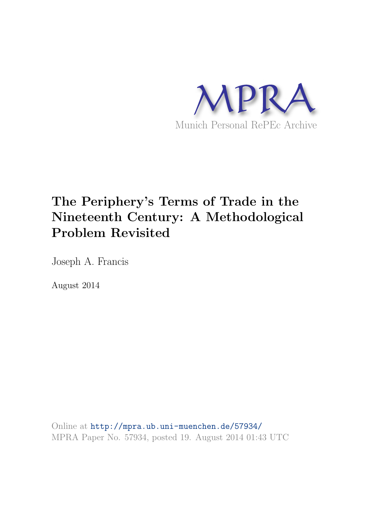

# The Periphery's Terms of Trade in the Nineteenth Century: A Methodological Problem Revisited

Joseph A. Francis

August 2014

Online at <http://mpra.ub.uni-muenchen.de/57934/> MPRA Paper No. 57934, posted 19. August 2014 01:43 UTC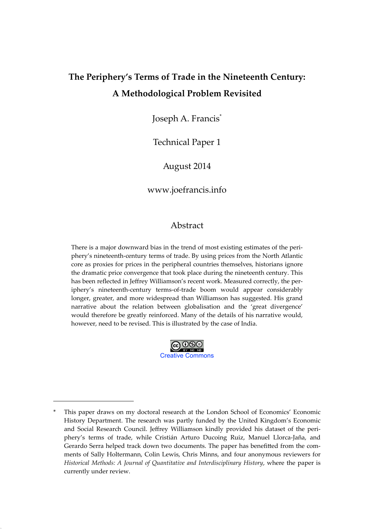# **The Periphery's Terms of Trade in the Nineteenth Century: A Methodological Problem Revisited**

Joseph A. Francis\*

Technical Paper 1

August 2014

[www.joefrancis.info](http://www.joefrancis.info)

# Abstract

There is a major downward bias in the trend of most existing estimates of the periphery's nineteenth-century terms of trade. By using prices from the North Atlantic core as proxies for prices in the peripheral countries themselves, historians ignore the dramatic price convergence that took place during the nineteenth century. This has been reflected in Jeffrey Williamson's recent work. Measured correctly, the periphery's nineteenth-century terms-of-trade boom would appear considerably longer, greater, and more widespread than Williamson has suggested. His grand narrative about the relation between globalisation and the 'great divergence' would therefore be greatly reinforced. Many of the details of his narrative would, however, need to be revised. This is illustrated by the case of India.



*Adjusted proxyNBTT=ForeignPx 7tradecostsForeignPm +tradecosts*

This paper draws on my doctoral research at the London School of Economics' Economic History Department. The research was partly funded by the United Kingdom's Economic and Social Research Council. Jeffrey Williamson kindly provided his dataset of the periphery's terms of trade, while Cristián Arturo Ducoing Ruiz, Manuel Llorca-Jaña, and Gerardo Serra helped track down two documents. The paper has benefitted from the comments of Sally Holtermann, Colin Lewis, Chris Minns, and four anonymous reviewers for *Historical Methods: A Journal of Quantitative and Interdisciplinary History*, where the paper is currently under review.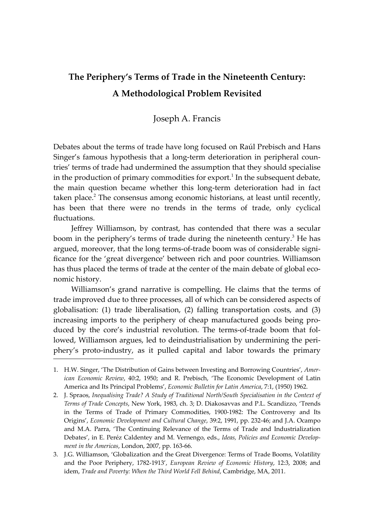# **The Periphery's Terms of Trade in the Nineteenth Century: A Methodological Problem Revisited**

Joseph A. Francis

Debates about the terms of trade have long focused on Raúl Prebisch and Hans Singer's famous hypothesis that a long-term deterioration in peripheral countries' terms of trade had undermined the assumption that they should specialise in the production of primary commodities for export.<sup>1</sup> In the subsequent debate, the main question became whether this long-term deterioration had in fact taken place.<sup>2</sup> The consensus among economic historians, at least until recently, has been that there were no trends in the terms of trade, only cyclical fluctuations.

Jeffrey Williamson, by contrast, has contended that there was a secular boom in the periphery's terms of trade during the nineteenth century.<sup>3</sup> He has argued, moreover, that the long terms-of-trade boom was of considerable significance for the 'great divergence' between rich and poor countries. Williamson has thus placed the terms of trade at the center of the main debate of global economic history.

Williamson's grand narrative is compelling. He claims that the terms of trade improved due to three processes, all of which can be considered aspects of globalisation: (1) trade liberalisation, (2) falling transportation costs, and (3) increasing imports to the periphery of cheap manufactured goods being produced by the core's industrial revolution. The terms-of-trade boom that followed, Williamson argues, led to deindustrialisation by undermining the periphery's proto-industry, as it pulled capital and labor towards the primary

<sup>1.</sup> H.W. Singer, 'The Distribution of Gains between Investing and Borrowing Countries', *American Economic Review*, 40:2, 1950; and R. Prebisch, 'The Economic Development of Latin America and Its Principal Problems', *Economic Bulletin for Latin America*, 7:1, (1950) 1962.

<sup>2.</sup> J. Spraos, *Inequalising Trade? A Study of Traditional North/South Specialisation in the Context of Terms of Trade Concepts*, New York, 1983, ch. 3; D. Diakosavvas and P.L. Scandizzo, 'Trends in the Terms of Trade of Primary Commodities, 1900-1982: The Controversy and Its Origins', *Economic Development and Cultural Change*, 39:2, 1991, pp. 232-46; and J.A. Ocampo and M.A. Parra, 'The Continuing Relevance of the Terms of Trade and Industrialization Debates', in E. Peréz Caldentey and M. Vernengo, eds., *Ideas, Policies and Economic Development in the Americas*, London, 2007, pp. 163-66.

<sup>3.</sup> J.G. Williamson, 'Globalization and the Great Divergence: Terms of Trade Booms, Volatility and the Poor Periphery, 1782-1913', *European Review of Economic History*, 12:3, 2008; and idem, *Trade and Poverty: When the Third World Fell Behind*, Cambridge, MA, 2011.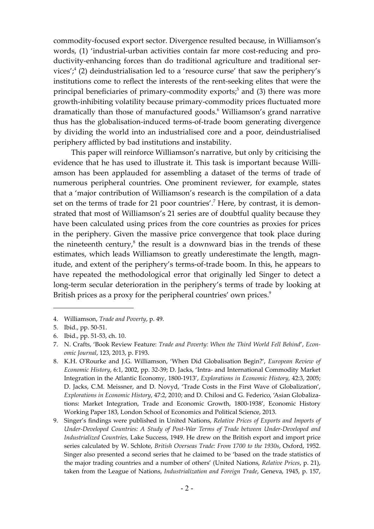commodity-focused export sector. Divergence resulted because, in Williamson's words, (1) 'industrial-urban activities contain far more cost-reducing and productivity-enhancing forces than do traditional agriculture and traditional services', $^{4}$  (2) deindustrialisation led to a 'resource curse' that saw the periphery's institutions come to reflect the interests of the rent-seeking elites that were the principal beneficiaries of primary-commodity exports;<sup>5</sup> and (3) there was more growth-inhibiting volatility because primary-commodity prices fluctuated more dramatically than those of manufactured goods.<sup>6</sup> Williamson's grand narrative thus has the globalisation-induced terms-of-trade boom generating divergence by dividing the world into an industrialised core and a poor, deindustrialised periphery afflicted by bad institutions and instability.

This paper will reinforce Williamson's narrative, but only by criticising the evidence that he has used to illustrate it. This task is important because Williamson has been applauded for assembling a dataset of the terms of trade of numerous peripheral countries. One prominent reviewer, for example, states that a 'major contribution of Williamson's research is the compilation of a data set on the terms of trade for 21 poor countries'.<sup>7</sup> Here, by contrast, it is demonstrated that most of Williamson's 21 series are of doubtful quality because they have been calculated using prices from the core countries as proxies for prices in the periphery. Given the massive price convergence that took place during the nineteenth century, $\delta$  the result is a downward bias in the trends of these estimates, which leads Williamson to greatly underestimate the length, magnitude, and extent of the periphery's terms-of-trade boom. In this, he appears to have repeated the methodological error that originally led Singer to detect a long-term secular deterioration in the periphery's terms of trade by looking at British prices as a proxy for the peripheral countries' own prices.<sup>9</sup>

<sup>4.</sup> Williamson, *Trade and Poverty*, p. 49.

<sup>5.</sup> Ibid., pp. 50-51.

<sup>6.</sup> Ibid., pp. 51-53, ch. 10.

<sup>7.</sup> N. Crafts, 'Book Review Feature: *Trade and Poverty: When the Third World Fell Behind*', *Economic Journal*, 123, 2013, p. F193.

<sup>8.</sup> K.H. O'Rourke and J.G. Williamson, 'When Did Globalisation Begin?', *European Review of Economic History*, 6:1, 2002, pp. 32-39; D. Jacks, 'Intra- and International Commodity Market Integration in the Atlantic Economy, 1800-1913', *Explorations in Economic History*, 42:3, 2005; D. Jacks, C.M. Meissner, and D. Novyd, 'Trade Costs in the First Wave of Globalization', *Explorations in Economic History*, 47:2, 2010; and D. Chilosi and G. Federico, 'Asian Globalizations: Market Integration, Trade and Economic Growth, 1800-1938', Economic History Working Paper 183, London School of Economics and Political Science, 2013.

<sup>9.</sup> Singer's findings were published in United Nations, *Relative Prices of Exports and Imports of Under-Developed Countries: A Study of Post-War Terms of Trade between Under-Developed and Industrialized Countries,* Lake Success, 1949. He drew on the British export and import price series calculated by W. Schlote, *British Overseas Trade: From 1700 to the 1930s*, Oxford, 1952. Singer also presented a second series that he claimed to be 'based on the trade statistics of the major trading countries and a number of others' (United Nations, *Relative Prices*, p. 21), taken from the League of Nations, *Industrialization and Foreign Trade*, Geneva, 1945, p. 157,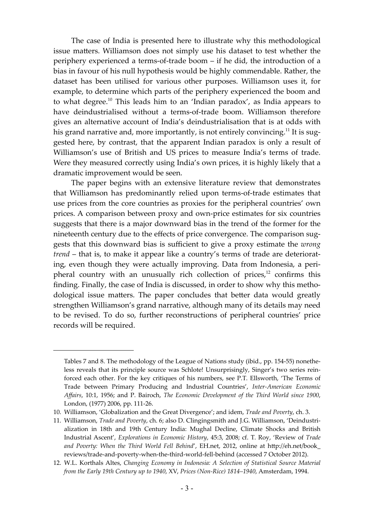The case of India is presented here to illustrate why this methodological issue matters. Williamson does not simply use his dataset to test whether the periphery experienced a terms-of-trade boom – if he did, the introduction of a bias in favour of his null hypothesis would be highly commendable. Rather, the dataset has been utilised for various other purposes. Williamson uses it, for example, to determine which parts of the periphery experienced the boom and to what degree.<sup>10</sup> This leads him to an 'Indian paradox', as India appears to have deindustrialised without a terms-of-trade boom. Williamson therefore gives an alternative account of India's deindustrialisation that is at odds with his grand narrative and, more importantly, is not entirely convincing.<sup>11</sup> It is suggested here, by contrast, that the apparent Indian paradox is only a result of Williamson's use of British and US prices to measure India's terms of trade. Were they measured correctly using India's own prices, it is highly likely that a dramatic improvement would be seen.

The paper begins with an extensive literature review that demonstrates that Williamson has predominantly relied upon terms-of-trade estimates that use prices from the core countries as proxies for the peripheral countries' own prices. A comparison between proxy and own-price estimates for six countries suggests that there is a major downward bias in the trend of the former for the nineteenth century due to the effects of price convergence. The comparison suggests that this downward bias is sufficient to give a proxy estimate the *wrong trend* – that is, to make it appear like a country's terms of trade are deteriorating, even though they were actually improving. Data from Indonesia, a peripheral country with an unusually rich collection of prices, $12$  confirms this finding. Finally, the case of India is discussed, in order to show why this methodological issue matters. The paper concludes that better data would greatly strengthen Williamson's grand narrative, although many of its details may need to be revised. To do so, further reconstructions of peripheral countries' price records will be required.

Tables 7 and 8. The methodology of the League of Nations study (ibid., pp. 154-55) nonetheless reveals that its principle source was Schlote! Unsurprisingly, Singer's two series reinforced each other. For the key critiques of his numbers, see P.T. Ellsworth, 'The Terms of Trade between Primary Producing and Industrial Countries', *Inter-American Economic Affairs*, 10:1, 1956; and P. Bairoch, *The Economic Development of the Third World since 1900*, London, (1977) 2006, pp. 111-26.

<sup>10.</sup> Williamson, 'Globalization and the Great Divergence'; and idem, *Trade and Poverty*, ch. 3.

<sup>11.</sup> Williamson, *Trade and Poverty*, ch. 6; also D. Clingingsmith and J.G. Williamson, 'Deindustrialization in 18th and 19th Century India: Mughal Decline, Climate Shocks and British Industrial Ascent', *Explorations in Economic History*, 45:3, 2008; cf. T. Roy, 'Review of *Trade and Poverty: When the Third World Fell Behind*', EH.net, 2012, online at [h^p://eh.net/book\\_](http://eh.net/book_reviews/trade-and-poverty-when-the-third-world-fell-behind) [reviews/trade-and-poverty-when-the-third-world-fell-behind](http://eh.net/book_reviews/trade-and-poverty-when-the-third-world-fell-behind) (accessed 7 October 2012).

<sup>12.</sup> W.L. Korthals Altes, *Changing Economy in Indonesia: A Selection of Statistical Source Material from the Early 19th Century up to 1940*, XV, *Prices (Non-Rice) 1814–1940*, Amsterdam, 1994.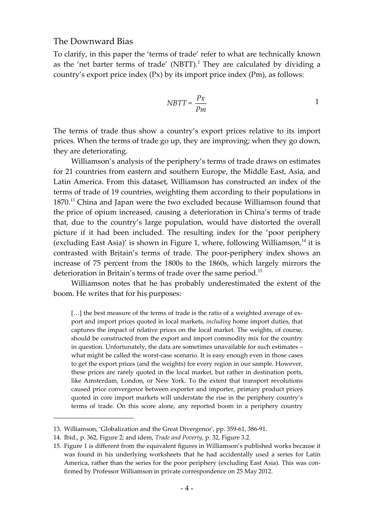#### The Downward Bias

To clarify, in this paper the 'terms of trade' refer to what are technically known as the 'net barter terms of trade' (NBTT).<sup>2</sup> They are calculated by dividing a country's export price index (Px) by its import price index (Pm), as follows:

$$
NBTT = \frac{Px}{Pm}
$$

The terms of trade thus show a country's export prices relative to its import prices. When the terms of trade go up, they are improving; when they go down, they are deteriorating.

Williamson's analysis of the periphery's terms of trade draws on estimates for 21 countries from eastern and southern Europe, the Middle East, Asia, and Latin America. From this dataset, Williamson has constructed an index of the terms of trade of 19 countries, weighting them according to their populations in 1870.<sup>13</sup> China and Japan were the two excluded because Williamson found that the price of opium increased, causing a deterioration in China's terms of trade that, due to the country's large population, would have distorted the overall picture if it had been included. The resulting index for the 'poor periphery (excluding East Asia)' is shown in Figure 1, where, following Williamson, $<sup>14</sup>$  it is</sup> contrasted with Britain's terms of trade. The poor-periphery index shows an increase of 75 percent from the 1800s to the 1860s, which largely mirrors the deterioration in Britain's terms of trade over the same period.<sup>15</sup>

Williamson notes that he has probably underestimated the extent of the boom. He writes that for his purposes:

[...] the best measure of the terms of trade is the ratio of a weighted average of export and import prices quoted in local markets, *including* home import duties, that captures the impact of relative prices on the local market. The weights, of course, should be constructed from the export and import commodity mix for the country in question. Unfortunately, the data are sometimes unavailable for such estimates – what might be called the worst-case scenario. It is easy enough even in those cases to get the export prices (and the weights) for every region in our sample. However, these prices are rarely quoted in the local market, but rather in destination ports, like Amsterdam, London, or New York. To the extent that transport revolutions caused price convergence between exporter and importer, primary product prices quoted in core import markets will understate the rise in the periphery country's terms of trade. On this score alone, any reported boom in a periphery country

<sup>13.</sup> Williamson, 'Globalization and the Great Divergence', pp. 359-61, 386-91.

<sup>14.</sup> Ibid., p. 362, Figure 2; and idem, *Trade and Poverty*, p. 32, Figure 3.2.

<sup>15.</sup> Figure 1 is different from the equivalent figures in Williamson's published works because it was found in his underlying worksheets that he had accidentally used a series for Latin America, rather than the series for the poor periphery (excluding East Asia). This was confirmed by Professor Williamson in private correspondence on 25 May 2012.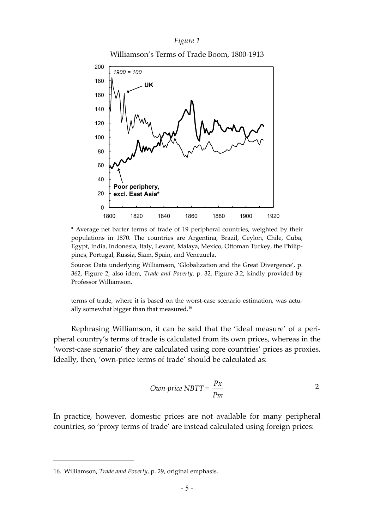#### *Figure 1*

Williamson's Terms of Trade Boom, 1800-1913



\* Average net barter terms of trade of 19 peripheral countries, weighted by their populations in 1870. The countries are Argentina, Brazil, Ceylon, Chile, Cuba, Egypt, India, Indonesia, Italy, Levant, Malaya, Mexico, Ottoman Turkey, the Philippines, Portugal, Russia, Siam, Spain, and Venezuela.

Source: Data underlying Williamson, 'Globalization and the Great Divergence', p. 362, Figure 2; also idem, *Trade and Poverty*, p. 32, Figure 3.2; kindly provided by Professor Williamson.

terms of trade, where it is based on the worst-case scenario estimation, was actually somewhat bigger than that measured.<sup>16</sup>

Rephrasing Williamson, it can be said that the 'ideal measure' of a peripheral country's terms of trade is calculated from its own prices, whereas in the 'worst-case scenario' they are calculated using core countries' prices as proxies. Ideally, then, 'own-price terms of trade' should be calculated as:

*Own-price* 
$$
NBTT = \frac{Px}{Pm}
$$
 2

In practice, however, domestic prices are not available for many peripheral countries, so 'proxy terms of trade' are instead calculated using foreign prices:

<sup>16.</sup> Williamson, *Trade amd Poverty*, p. 29, original emphasis.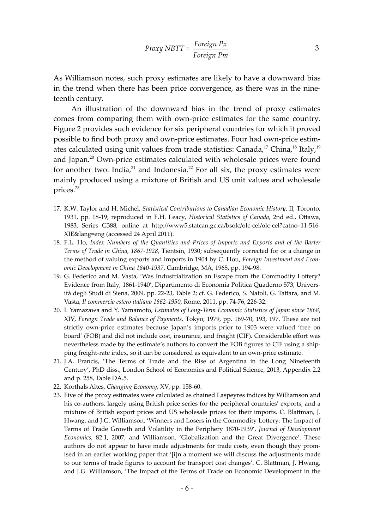3

As Williamson notes, such proxy estimates are likely to have a downward bias in the trend when there has been price convergence, as there was in the nineteenth century.

An illustration of the downward bias in the trend of proxy estimates comes from comparing them with own-price estimates for the same country. Figure 2 provides such evidence for six peripheral countries for which it proved possible to find both proxy and own-price estimates. Four had own-price estimates calculated using unit values from trade statistics: Canada,<sup>17</sup> China,<sup>18</sup> Italy,<sup>19</sup> and Japan.<sup>20</sup> Own-price estimates calculated with wholesale prices were found for another two: India, $21$  and Indonesia. $22$  For all six, the proxy estimates were mainly produced using a mixture of British and US unit values and wholesale prices.<sup>23</sup>

- 17. K.W. Taylor and H. Michel, *Statistical Contributions to Canadian Economic History*, II, Toronto, 1931, pp. 18-19; reproduced in F.H. Leacy, *Historical Statistics of Canada*, 2nd ed., O^awa, 1983, Series G388, online at [h^p://www5.statcan.gc.ca/bsolc/olc-cel/olc-cel?catno=11-516-](http://www5.statcan.gc.ca/bsolc/olc-cel/olc-cel?catno=11-516-XIE&lang=eng) [XIE&lang=eng](http://www5.statcan.gc.ca/bsolc/olc-cel/olc-cel?catno=11-516-XIE&lang=eng) (accessed 24 April 2011).
- 18. F.L. Ho, *Index Numbers of the Quantities and Prices of Imports and Exports and of the Barter Terms of Trade in China, 1867-1928*, Tientsin, 1930; subsequently corrected for or a change in the method of valuing exports and imports in 1904 by C. Hou, *Foreign Investment and Economic Development in China 1840-1937*, Cambridge, MA, 1965, pp. 194-98.
- 19. G. Federico and M. Vasta, 'Was Industrialization an Escape from the Commodity Lottery? Evidence from Italy, 1861-1940', Dipartimento di Economia Politica Quaderno 573, Università degli Studi di Siena, 2009, pp. 22-23, Table 2; cf. G. Federico, S. Natoli, G. Tattara, and M. Vasta, *Il commercio estero italiano 1862-1950*, Rome, 2011, pp. 74-76, 226-32.
- 20. I. Yamazawa and Y. Yamamoto, *Estimates of Long-Term Economic Statistics of Japan since 1868*, XIV, *Foreign Trade and Balance of Payments*, Tokyo, 1979, pp. 169-70, 193, 197. These are not strictly own-price estimates because Japan's imports prior to 1903 were valued 'free on board' (FOB) and did not include cost, insurance, and freight (CIF). Considerable effort was nevertheless made by the estimate's authors to convert the FOB figures to CIF using a shipping freight-rate index, so it can be considered as equivalent to an own-price estimate.
- 21. J.A. Francis, 'The Terms of Trade and the Rise of Argentina in the Long Nineteenth Century', PhD diss., London School of Economics and Political Science, 2013, Appendix 2.2 and p. 258, Table DA.5.
- 22. Korthals Altes, *Changing Economy*, XV, pp. 158-60.
- 23. Five of the proxy estimates were calculated as chained Laspeyres indices by Williamson and his co-authors, largely using British price series for the peripheral countries' exports, and a mixture of British export prices and US wholesale prices for their imports. C. Bla^man, J. Hwang, and J.G. Williamson, 'Winners and Losers in the Commodity Lottery: The Impact of Terms of Trade Growth and Volatility in the Periphery 1870-1939', *Journal of Development Economics*, 82:1, 2007; and Williamson, 'Globalization and the Great Divergence'. These authors do not appear to have made adjustments for trade costs, even though they promised in an earlier working paper that '[i]n a moment we will discuss the adjustments made to our terms of trade figures to account for transport cost changes'. C. Blattman, J. Hwang, and J.G. Williamson, 'The Impact of the Terms of Trade on Economic Development in the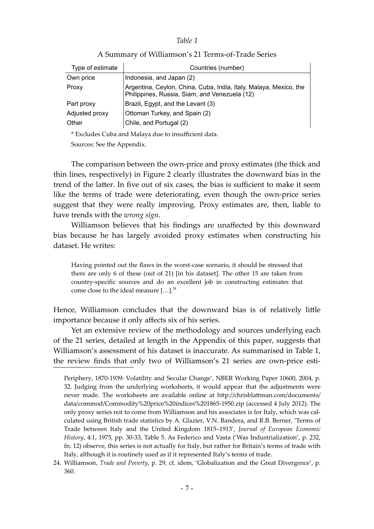#### **Table 1**

| Type of estimate                                            | Countries (number)                                                                                                 |  |  |
|-------------------------------------------------------------|--------------------------------------------------------------------------------------------------------------------|--|--|
| Own price                                                   | Indonesia, and Japan (2)                                                                                           |  |  |
| Proxy                                                       | Argentina, Ceylon, China, Cuba, India, Italy, Malaya, Mexico, the<br>Philippines, Russia, Siam, and Venezuela (12) |  |  |
| Part proxy                                                  | Brazil, Egypt, and the Levant (3)                                                                                  |  |  |
| Adjusted proxy                                              | Ottoman Turkey, and Spain (2)                                                                                      |  |  |
| Other                                                       | Chile, and Portugal (2)                                                                                            |  |  |
| * England og Carles og d. Melsen, dans to insatt sjont dete |                                                                                                                    |  |  |

#### A Summary of Williamson's 21 Terms-of-Trade Series

Excludes Cuba and Malaya due to insufficient data.

Sources: See the Appendix.

The comparison between the own-price and proxy estimates (the thick and thin lines, respectively) in Figure 2 clearly illustrates the downward bias in the trend of the latter. In five out of six cases, the bias is sufficient to make it seem like the terms of trade were deteriorating, even though the own-price series suggest that they were really improving. Proxy estimates are, then, liable to have trends with the *wrong sign*.

Williamson believes that his findings are unaffected by this downward bias because he has largely avoided proxy estimates when constructing his dataset. He writes:

Having pointed out the flaws in the worst-case scenario, it should be stressed that there are only 6 of these (out of 21) [in his dataset]. The other 15 are taken from country-specific sources and do an excellent job in constructing estimates that come close to the ideal measure  $[...]^{24}$ 

Hence, Williamson concludes that the downward bias is of relatively little importance because it only affects six of his series.

Yet an extensive review of the methodology and sources underlying each of the 21 series, detailed at length in the Appendix of this paper, suggests that Williamson's assessment of his dataset is inaccurate. As summarised in Table 1, the review finds that only two of Williamson's 21 series are own-price esti-

Periphery, 1870-1939: Volatility and Secular Change', NBER Working Paper 10600, 2004, p. 32. Judging from the underlying worksheets, it would appear that the adjustments were never made. The worksheets are available online at http://chrisblattman.com/documents/ [data/commod/Commodity%20price%20indices%201865-1950.zip](http://chrisblattman.com/documents/data/commod/Commodity%20price%20indices%201865-1950.zip) (accessed 4 July 2012). The only proxy series not to come from Williamson and his associates is for Italy, which was calculated using British trade statistics by A. Glazier, V.N. Bandera, and R.B. Berner, 'Terms of Trade between Italy and the United Kingdom 1815–1913', *Journal of European Economic History*, 4:1, 1975, pp. 30-33, Table 5. As Federico and Vasta ('Was Industrialization', p. 232, fn. 12) observe, this series is not actually for Italy, but rather for Britain's terms of trade with Italy, although it is routinely used as if it represented Italy's terms of trade.

<sup>24.</sup> Williamson, *Trade and Poverty*, p. 29, cf. idem, 'Globalization and the Great Divergence', p. 360.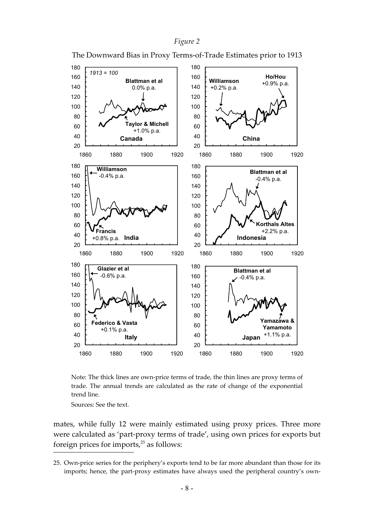



The Downward Bias in Proxy Terms-of-Trade Estimates prior to 1913

Note: The thick lines are own-price terms of trade, the thin lines are proxy terms of trade. The annual trends are calculated as the rate of change of the exponential trend line.

Sources: See the text.

mates, while fully 12 were mainly estimated using proxy prices. Three more were calculated as 'part-proxy terms of trade', using own prices for exports but foreign prices for imports, $25$  as follows:

<sup>25.</sup> Own-price series for the periphery's exports tend to be far more abundant than those for its imports; hence, the part-proxy estimates have always used the peripheral country's own-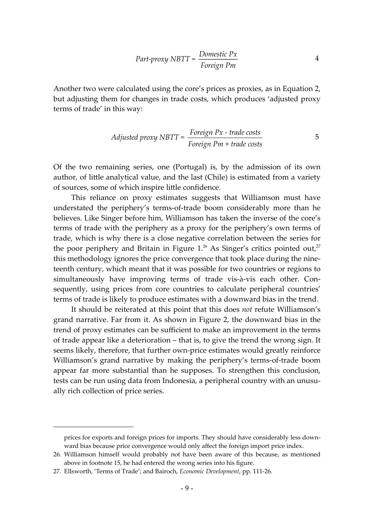$$
Part-program \, \, \text{NBTT} = \frac{Domestic \, \text{P}x}{\text{Foreign \, \text{P}m}} \tag{4}
$$

Another two were calculated using the core's prices as proxies, as in Equation 2, but adjusting them for changes in trade costs, which produces 'adjusted proxy terms of trade' in this way:

Adjusted proxy NBIT = 
$$
\frac{Foreign\;Px - trade\;costs}{Foreign\;Pm + trade\;costs}
$$

\n5

Of the two remaining series, one (Portugal) is, by the admission of its own author, of little analytical value, and the last (Chile) is estimated from a variety of sources, some of which inspire little confidence.

This reliance on proxy estimates suggests that Williamson must have understated the periphery's terms-of-trade boom considerably more than he believes. Like Singer before him, Williamson has taken the inverse of the core's terms of trade with the periphery as a proxy for the periphery's own terms of trade, which is why there is a close negative correlation between the series for the poor periphery and Britain in Figure  $1.^{26}$  As Singer's critics pointed out,<sup>27</sup> this methodology ignores the price convergence that took place during the nineteenth century, which meant that it was possible for two countries or regions to simultaneously have improving terms of trade vis-à-vis each other. Consequently, using prices from core countries to calculate peripheral countries' terms of trade is likely to produce estimates with a downward bias in the trend.

It should be reiterated at this point that this does *not* refute Williamson's grand narrative. Far from it. As shown in Figure 2, the downward bias in the trend of proxy estimates can be sufficient to make an improvement in the terms of trade appear like a deterioration – that is, to give the trend the wrong sign. It seems likely, therefore, that further own-price estimates would greatly reinforce Williamson's grand narrative by making the periphery's terms-of-trade boom appear far more substantial than he supposes. To strengthen this conclusion, tests can be run using data from Indonesia, a peripheral country with an unusually rich collection of price series.

prices for exports and foreign prices for imports. They should have considerably less downward bias because price convergence would only affect the foreign import price index.

<sup>26.</sup> Williamson himself would probably not have been aware of this because, as mentioned above in footnote 15, he had entered the wrong series into his figure.

<sup>27.</sup> Ellsworth, 'Terms of Trade'; and Bairoch, *Economic Development*, pp. 111-26.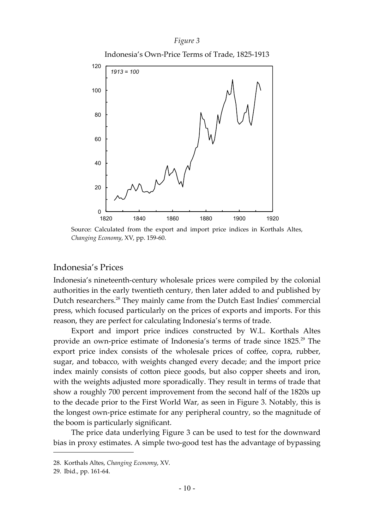#### *Figure 3*





Source: Calculated from the export and import price indices in Korthals Altes, *Changing Economy*, XV, pp. 159-60.

# Indonesia's Prices

Indonesia's nineteenth-century wholesale prices were compiled by the colonial authorities in the early twentieth century, then later added to and published by Dutch researchers.<sup>28</sup> They mainly came from the Dutch East Indies' commercial press, which focused particularly on the prices of exports and imports. For this reason, they are perfect for calculating Indonesia's terms of trade.

Export and import price indices constructed by W.L. Korthals Altes provide an own-price estimate of Indonesia's terms of trade since 1825.<sup>29</sup> The export price index consists of the wholesale prices of coffee, copra, rubber, sugar, and tobacco, with weights changed every decade; and the import price index mainly consists of cotton piece goods, but also copper sheets and iron, with the weights adjusted more sporadically. They result in terms of trade that show a roughly 700 percent improvement from the second half of the 1820s up to the decade prior to the First World War, as seen in Figure 3. Notably, this is the longest own-price estimate for any peripheral country, so the magnitude of the boom is particularly significant.

The price data underlying Figure 3 can be used to test for the downward bias in proxy estimates. A simple two-good test has the advantage of bypassing

<sup>28.</sup> Korthals Altes, *Changing Economy*, XV.

<sup>29.</sup> Ibid., pp. 161-64.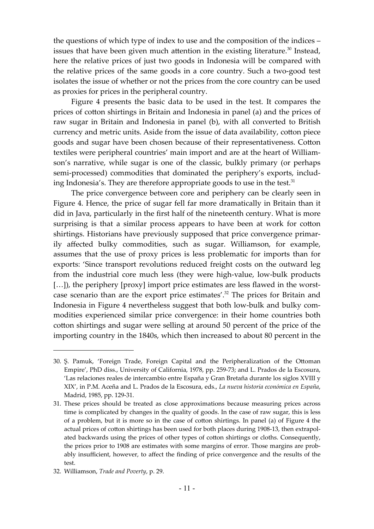the questions of which type of index to use and the composition of the indices – issues that have been given much attention in the existing literature. $30$  Instead, here the relative prices of just two goods in Indonesia will be compared with the relative prices of the same goods in a core country. Such a two-good test isolates the issue of whether or not the prices from the core country can be used as proxies for prices in the peripheral country.

Figure 4 presents the basic data to be used in the test. It compares the prices of cotton shirtings in Britain and Indonesia in panel (a) and the prices of raw sugar in Britain and Indonesia in panel (b), with all converted to British currency and metric units. Aside from the issue of data availability, cotton piece goods and sugar have been chosen because of their representativeness. Cotton textiles were peripheral countries' main import and are at the heart of Williamson's narrative, while sugar is one of the classic, bulkly primary (or perhaps semi-processed) commodities that dominated the periphery's exports, including Indonesia's. They are therefore appropriate goods to use in the test.<sup>31</sup>

The price convergence between core and periphery can be clearly seen in Figure 4. Hence, the price of sugar fell far more dramatically in Britain than it did in Java, particularly in the first half of the nineteenth century. What is more surprising is that a similar process appears to have been at work for cotton shirtings. Historians have previously supposed that price convergence primarily affected bulky commodities, such as sugar. Williamson, for example, assumes that the use of proxy prices is less problematic for imports than for exports: 'Since transport revolutions reduced freight costs on the outward leg from the industrial core much less (they were high-value, low-bulk products [...]), the periphery [proxy] import price estimates are less flawed in the worstcase scenario than are the export price estimates'.<sup>32</sup> The prices for Britain and Indonesia in Figure 4 nevertheless suggest that both low-bulk and bulky commodities experienced similar price convergence: in their home countries both cotton shirtings and sugar were selling at around 50 percent of the price of the importing country in the 1840s, which then increased to about 80 percent in the

<sup>30.</sup> Ş. Pamuk, 'Foreign Trade, Foreign Capital and the Peripheralization of the O^oman Empire', PhD diss., University of California, 1978, pp. 259-73; and L. Prados de la Escosura, 'Las relaciones reales de intercambio entre España y Gran Bretaña durante los siglos XVIII y XIX', in P.M. Aceña and L. Prados de la Escosura, eds., *La nueva historia económica en España*, Madrid, 1985, pp. 129-31.

<sup>31.</sup> These prices should be treated as close approximations because measuring prices across time is complicated by changes in the quality of goods. In the case of raw sugar, this is less of a problem, but it is more so in the case of cotton shirtings. In panel (a) of Figure 4 the actual prices of cotton shirtings has been used for both places during 1908-13, then extrapolated backwards using the prices of other types of cotton shirtings or cloths. Consequently, the prices prior to 1908 are estimates with some margins of error. Those margins are probably insufficient, however, to affect the finding of price convergence and the results of the test.

<sup>32.</sup> Williamson, *Trade and Poverty*, p. 29.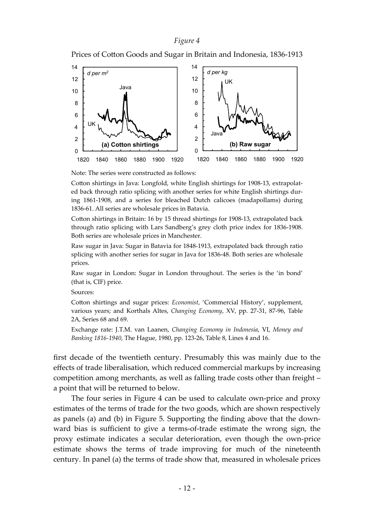#### *Figure 4*

Prices of Cotton Goods and Sugar in Britain and Indonesia, 1836-1913



Note: The series were constructed as follows:

Cotton shirtings in Java: Longfold, white English shirtings for 1908-13, extrapolated back through ratio splicing with another series for white English shirtings during 1861-1908, and a series for bleached Dutch calicoes (madapollams) during 1836-61. All series are wholesale prices in Batavia.

Cotton shirtings in Britain: 16 by 15 thread shirtings for 1908-13, extrapolated back through ratio splicing with Lars Sandberg's grey cloth price index for 1836-1908. Both series are wholesale prices in Manchester.

Raw sugar in Java: Sugar in Batavia for 1848-1913, extrapolated back through ratio splicing with another series for sugar in Java for 1836-48. Both series are wholesale prices.

Raw sugar in London: Sugar in London throughout. The series is the 'in bond' (that is, CIF) price.

Sources:

Cotton shirtings and sugar prices: *Economist*, 'Commercial History', supplement, various years; and Korthals Altes, *Changing Economy*, XV, pp. 27-31, 87-96, Table 2A, Series 68 and 69.

Exchange rate: J.T.M. van Laanen, *Changing Economy in Indonesia*, VI, *Money and Banking 1816-1940*, The Hague, 1980, pp. 123-26, Table 8, Lines 4 and 16.

first decade of the twentieth century. Presumably this was mainly due to the effects of trade liberalisation, which reduced commercial markups by increasing competition among merchants, as well as falling trade costs other than freight – a point that will be returned to below.

The four series in Figure 4 can be used to calculate own-price and proxy estimates of the terms of trade for the two goods, which are shown respectively as panels (a) and (b) in Figure 5. Supporting the finding above that the downward bias is sufficient to give a terms-of-trade estimate the wrong sign, the proxy estimate indicates a secular deterioration, even though the own-price estimate shows the terms of trade improving for much of the nineteenth century. In panel (a) the terms of trade show that, measured in wholesale prices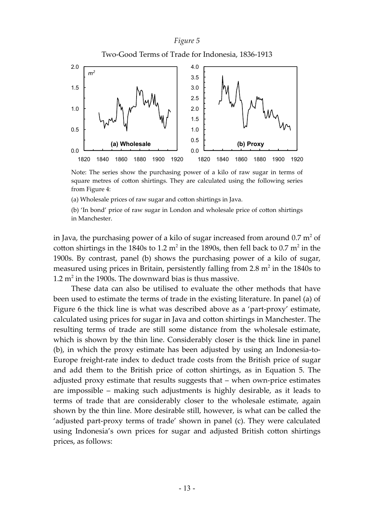### *Figure 5*



Note: The series show the purchasing power of a kilo of raw sugar in terms of square metres of cotton shirtings. They are calculated using the following series from Figure 4:

(a) Wholesale prices of raw sugar and cotton shirtings in Java.

(b) 'In bond' price of raw sugar in London and wholesale price of cotton shirtings in Manchester.

in Java, the purchasing power of a kilo of sugar increased from around  $0.7 \text{ m}^2$  of cotton shirtings in the 1840s to 1.2 m<sup>2</sup> in the 1890s, then fell back to 0.7 m<sup>2</sup> in the 1900s. By contrast, panel (b) shows the purchasing power of a kilo of sugar, measured using prices in Britain, persistently falling from  $2.8 \text{ m}^2$  in the 1840s to 1.2  $m<sup>2</sup>$  in the 1900s. The downward bias is thus massive.

These data can also be utilised to evaluate the other methods that have been used to estimate the terms of trade in the existing literature. In panel (a) of Figure 6 the thick line is what was described above as a 'part-proxy' estimate, calculated using prices for sugar in Java and cotton shirtings in Manchester. The resulting terms of trade are still some distance from the wholesale estimate, which is shown by the thin line. Considerably closer is the thick line in panel (b), in which the proxy estimate has been adjusted by using an Indonesia-to-Europe freight-rate index to deduct trade costs from the British price of sugar and add them to the British price of cotton shirtings, as in Equation 5. The adjusted proxy estimate that results suggests that – when own-price estimates are impossible – making such adjustments is highly desirable, as it leads to terms of trade that are considerably closer to the wholesale estimate, again shown by the thin line. More desirable still, however, is what can be called the 'adjusted part-proxy terms of trade' shown in panel (c). They were calculated using Indonesia's own prices for sugar and adjusted British cotton shirtings prices, as follows: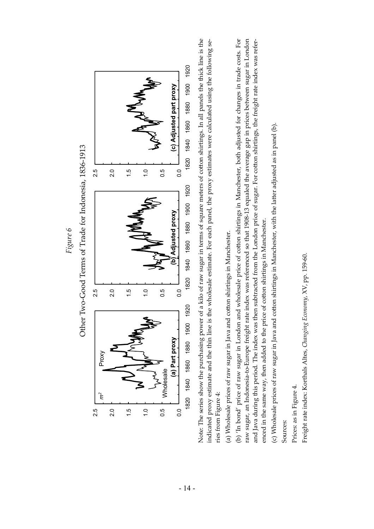

(c) Wholesale prices of raw sugar in Java and cotton shirtings in Manchester, with the latter adjusted as in panel (b). (c) Wholesale prices of raw sugar in Java and cotton shirtings in Manchester, with the latter adjusted as in panel (b).

enced in the same way, then added to the price of cotton shirtings in Manchester.

Sources:

Prices: as in Figure 4. Prices: as in Figure 4.

Freight rate index: Korthals Altes*, Changing Economy, XV, pp.* 159-60. Freight rate index: Korthals Altes, Changing Economy, XV, pp. 159-60.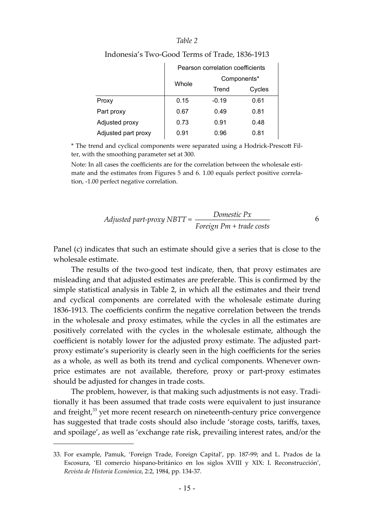#### *Table 2*

|                     | Pearson correlation coefficients |             |        |
|---------------------|----------------------------------|-------------|--------|
|                     | Whole                            | Components* |        |
|                     |                                  | Trend       | Cycles |
| Proxy               | 0.15                             | $-0.19$     | 0.61   |
| Part proxy          | 0.67                             | 0.49        | 0.81   |
| Adjusted proxy      | 0.73                             | 0.91        | 0.48   |
| Adjusted part proxy | 0.91                             | 0.96        | 0.81   |

#### Indonesia's Two-Good Terms of Trade, 1836-1913

\* The trend and cyclical components were separated using a Hodrick-Presco^ Filter, with the smoothing parameter set at 300.

Note: In all cases the coefficients are for the correlation between the wholesale estimate and the estimates from Figures 5 and 6. 1.00 equals perfect positive correlation, -1.00 perfect negative correlation.

$$
Adjusted\ part\-proxy\ NBTT = \frac{Domestic\ Px}{Foreign\ Pm + trade\ costs}
$$

Panel (c) indicates that such an estimate should give a series that is close to the wholesale estimate.

The results of the two-good test indicate, then, that proxy estimates are misleading and that adjusted estimates are preferable. This is confirmed by the simple statistical analysis in Table 2, in which all the estimates and their trend and cyclical components are correlated with the wholesale estimate during 1836-1913. The coefficients confirm the negative correlation between the trends in the wholesale and proxy estimates, while the cycles in all the estimates are positively correlated with the cycles in the wholesale estimate, although the coefficient is notably lower for the adjusted proxy estimate. The adjusted partproxy estimate's superiority is clearly seen in the high coefficients for the series as a whole, as well as both its trend and cyclical components. Whenever ownprice estimates are not available, therefore, proxy or part-proxy estimates should be adjusted for changes in trade costs.

The problem, however, is that making such adjustments is not easy. Traditionally it has been assumed that trade costs were equivalent to just insurance and freight, $33$  yet more recent research on nineteenth-century price convergence has suggested that trade costs should also include 'storage costs, tariffs, taxes, and spoilage', as well as 'exchange rate risk, prevailing interest rates, and/or the

<sup>33.</sup> For example, Pamuk, 'Foreign Trade, Foreign Capital', pp. 187-99; and L. Prados de la Escosura, 'El comercio hispano-británico en los siglos XVIII y XIX: I. Reconstrucción', *Revista de Historia Económica*, 2:2, 1984, pp. 134-37.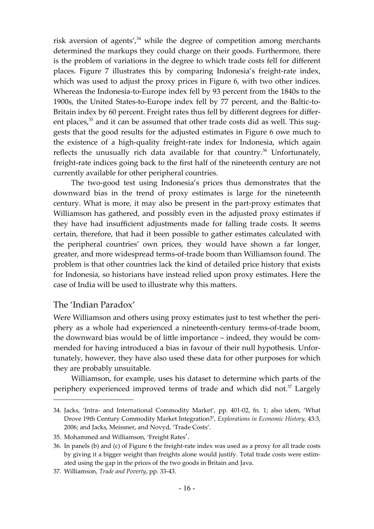risk aversion of agents',<sup>34</sup> while the degree of competition among merchants determined the markups they could charge on their goods. Furthermore, there is the problem of variations in the degree to which trade costs fell for different places. Figure 7 illustrates this by comparing Indonesia's freight-rate index, which was used to adjust the proxy prices in Figure 6, with two other indices. Whereas the Indonesia-to-Europe index fell by 93 percent from the 1840s to the 1900s, the United States-to-Europe index fell by 77 percent, and the Baltic-to-Britain index by 60 percent. Freight rates thus fell by different degrees for different places, $35$  and it can be assumed that other trade costs did as well. This suggests that the good results for the adjusted estimates in Figure 6 owe much to the existence of a high-quality freight-rate index for Indonesia, which again reflects the unusually rich data available for that country.<sup>36</sup> Unfortunately, freight-rate indices going back to the first half of the nineteenth century are not currently available for other peripheral countries.

The two-good test using Indonesia's prices thus demonstrates that the downward bias in the trend of proxy estimates is large for the nineteenth century. What is more, it may also be present in the part-proxy estimates that Williamson has gathered, and possibly even in the adjusted proxy estimates if they have had insufficient adjustments made for falling trade costs. It seems certain, therefore, that had it been possible to gather estimates calculated with the peripheral countries' own prices, they would have shown a far longer, greater, and more widespread terms-of-trade boom than Williamson found. The problem is that other countries lack the kind of detailed price history that exists for Indonesia, so historians have instead relied upon proxy estimates. Here the case of India will be used to illustrate why this matters.

# The 'Indian Paradox'

Were Williamson and others using proxy estimates just to test whether the periphery as a whole had experienced a nineteenth-century terms-of-trade boom, the downward bias would be of little importance – indeed, they would be commended for having introduced a bias in favour of their null hypothesis. Unfortunately, however, they have also used these data for other purposes for which they are probably unsuitable.

Williamson, for example, uses his dataset to determine which parts of the periphery experienced improved terms of trade and which did not. $37$  Largely

<sup>34.</sup> Jacks, 'Intra- and International Commodity Market', pp. 401-02, fn. 1; also idem, 'What Drove 19th Century Commodity Market Integration?', *Explorations in Economic History*, 43:3, 2006; and Jacks, Meissner, and Novyd, 'Trade Costs'.

<sup>35.</sup> Mohammed and Williamson, 'Freight Rates'.

<sup>36.</sup> In panels (b) and (c) of Figure 6 the freight-rate index was used as a proxy for all trade costs by giving it a bigger weight than freights alone would justify. Total trade costs were estimated using the gap in the prices of the two goods in Britain and Java.

<sup>37.</sup> Williamson, *Trade and Poverty*, pp. 33-43.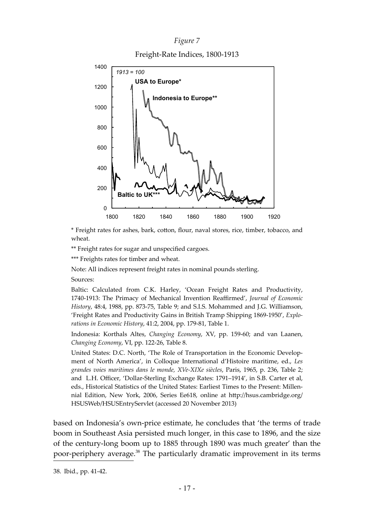# *Figure* 7

Freight-Rate Indices, 1800-1913



\* Freight rates for ashes, bark, cotton, flour, naval stores, rice, timber, tobacco, and wheat.

\*\* Freight rates for sugar and unspecified cargoes.

\*\*\* Freights rates for timber and wheat.

Note: All indices represent freight rates in nominal pounds sterling.

Sources:

Baltic: Calculated from C.K. Harley, 'Ocean Freight Rates and Productivity, 1740-1913: The Primacy of Mechanical Invention Reaffirmed', *Journal of Economic History*, 48:4, 1988, pp. 873-75, Table 9; and S.I.S. Mohammed and J.G. Williamson, 'Freight Rates and Productivity Gains in British Tramp Shipping 1869-1950', *Explorations in Economic History*, 41:2, 2004, pp. 179-81, Table 1.

Indonesia: Korthals Altes, *Changing Economy*, XV, pp. 159-60; and van Laanen, *Changing Economy*, VI, pp. 122-26, Table 8.

United States: D.C. North, 'The Role of Transportation in the Economic Development of North America', in Colloque International d'Histoire maritime, ed., *Les grandes voies maritimes dans le monde, XVe-XIXe siècles*, Paris, 1965, p. 236, Table 2; and L.H. Officer, 'Dollar-Sterling Exchange Rates: 1791–1914', in S.B. Carter et al, eds., Historical Statistics of the United States: Earliest Times to the Present: Millennial Edition, New York, 2006, Series Ee618, online at [h^p://hsus.cambridge.org/](http://hsus.cambridge.org/HSUSWeb/HSUSEntryServlet) [HSUSWeb/HSUSEntryServlet](http://hsus.cambridge.org/HSUSWeb/HSUSEntryServlet) (accessed 20 November 2013)

based on Indonesia's own-price estimate, he concludes that 'the terms of trade boom in Southeast Asia persisted much longer, in this case to 1896, and the size of the century-long boom up to 1885 through 1890 was much greater' than the poor-periphery average.<sup>38</sup> The particularly dramatic improvement in its terms

<sup>38.</sup> Ibid., pp. 41-42.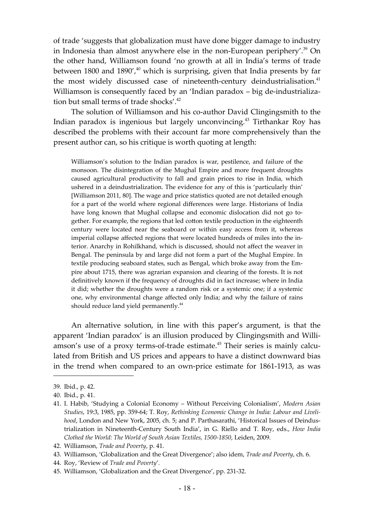of trade 'suggests that globalization must have done bigger damage to industry in Indonesia than almost anywhere else in the non-European periphery'.<sup>39</sup> On the other hand, Williamson found 'no growth at all in India's terms of trade between 1800 and 1890', $40^{\circ}$  which is surprising, given that India presents by far the most widely discussed case of nineteenth-century deindustrialisation.<sup>41</sup> Williamson is consequently faced by an 'Indian paradox – big de-industrialization but small terms of trade shocks'.<sup>42</sup>

The solution of Williamson and his co-author David Clingingsmith to the Indian paradox is ingenious but largely unconvincing.<sup>43</sup> Tirthankar Roy has described the problems with their account far more comprehensively than the present author can, so his critique is worth quoting at length:

Williamson's solution to the Indian paradox is war, pestilence, and failure of the monsoon. The disintegration of the Mughal Empire and more frequent droughts caused agricultural productivity to fall and grain prices to rise in India, which ushered in a deindustrialization. The evidence for any of this is 'particularly thin' [Williamson 2011, 80]. The wage and price statistics quoted are not detailed enough for a part of the world where regional differences were large. Historians of India have long known that Mughal collapse and economic dislocation did not go together. For example, the regions that led cotton textile production in the eighteenth century were located near the seaboard or within easy access from it, whereas imperial collapse affected regions that were located hundreds of miles into the interior. Anarchy in Rohilkhand, which is discussed, should not affect the weaver in Bengal. The peninsula by and large did not form a part of the Mughal Empire. In textile producing seaboard states, such as Bengal, which broke away from the Empire about 1715, there was agrarian expansion and clearing of the forests. It is not definitively known if the frequency of droughts did in fact increase; where in India it did; whether the droughts were a random risk or a systemic one; if a systemic one, why environmental change affected only India; and why the failure of rains should reduce land yield permanently.<sup>44</sup>

An alternative solution, in line with this paper's argument, is that the apparent 'Indian paradox' is an illusion produced by Clingingsmith and Williamson's use of a proxy terms-of-trade estimate.<sup>45</sup> Their series is mainly calculated from British and US prices and appears to have a distinct downward bias in the trend when compared to an own-price estimate for 1861-1913, as was

<sup>39.</sup> Ibid., p. 42.

<sup>40.</sup> Ibid., p. 41.

<sup>41.</sup> I. Habib, 'Studying a Colonial Economy – Without Perceiving Colonialism', *Modern Asian Studies*, 19:3, 1985, pp. 359-64; T. Roy, *Rethinking Economic Change in India: Labour and Livelihood*, London and New York, 2005, ch. 5; and P. Parthasarathi, 'Historical Issues of Deindustrialization in Nineteenth-Century South India', in G. Riello and T. Roy, eds., *How India Clothed the World: The World of South Asian Textiles, 1500-1850*, Leiden, 2009.

<sup>42.</sup> Williamson, *Trade and Poverty*, p. 41.

<sup>43.</sup> Williamson, 'Globalization and the Great Divergence'; also idem, *Trade and Poverty*, ch. 6.

<sup>44.</sup> Roy, 'Review of *Trade and Poverty*'*.*

<sup>45.</sup> Williamson, 'Globalization and the Great Divergence', pp. 231-32.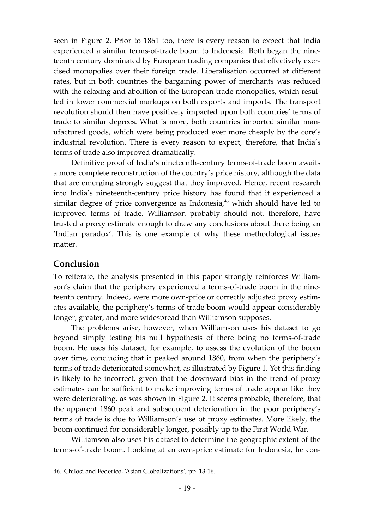seen in Figure 2. Prior to 1861 too, there is every reason to expect that India experienced a similar terms-of-trade boom to Indonesia. Both began the nineteenth century dominated by European trading companies that effectively exercised monopolies over their foreign trade. Liberalisation occurred at different rates, but in both countries the bargaining power of merchants was reduced with the relaxing and abolition of the European trade monopolies, which resulted in lower commercial markups on both exports and imports. The transport revolution should then have positively impacted upon both countries' terms of trade to similar degrees. What is more, both countries imported similar manufactured goods, which were being produced ever more cheaply by the core's industrial revolution. There is every reason to expect, therefore, that India's terms of trade also improved dramatically.

Definitive proof of India's nineteenth-century terms-of-trade boom awaits a more complete reconstruction of the country's price history, although the data that are emerging strongly suggest that they improved. Hence, recent research into India's nineteenth-century price history has found that it experienced a similar degree of price convergence as Indonesia, $46$  which should have led to improved terms of trade. Williamson probably should not, therefore, have trusted a proxy estimate enough to draw any conclusions about there being an 'Indian paradox'. This is one example of why these methodological issues matter.

# **Conclusion**

To reiterate, the analysis presented in this paper strongly reinforces Williamson's claim that the periphery experienced a terms-of-trade boom in the nineteenth century. Indeed, were more own-price or correctly adjusted proxy estimates available, the periphery's terms-of-trade boom would appear considerably longer, greater, and more widespread than Williamson supposes.

The problems arise, however, when Williamson uses his dataset to go beyond simply testing his null hypothesis of there being no terms-of-trade boom. He uses his dataset, for example, to assess the evolution of the boom over time, concluding that it peaked around 1860, from when the periphery's terms of trade deteriorated somewhat, as illustrated by Figure 1. Yet this finding is likely to be incorrect, given that the downward bias in the trend of proxy estimates can be sufficient to make improving terms of trade appear like they were deteriorating, as was shown in Figure 2. It seems probable, therefore, that the apparent 1860 peak and subsequent deterioration in the poor periphery's terms of trade is due to Williamson's use of proxy estimates. More likely, the boom continued for considerably longer, possibly up to the First World War.

Williamson also uses his dataset to determine the geographic extent of the terms-of-trade boom. Looking at an own-price estimate for Indonesia, he con-

<sup>46.</sup> Chilosi and Federico, 'Asian Globalizations', pp. 13-16.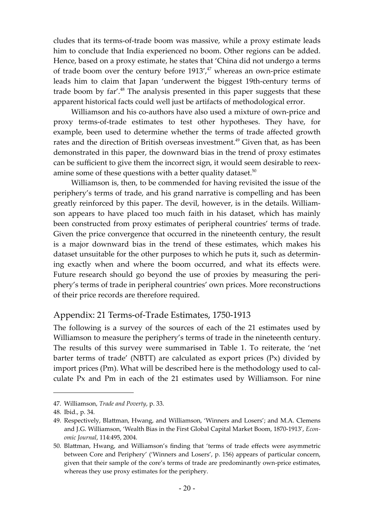cludes that its terms-of-trade boom was massive, while a proxy estimate leads him to conclude that India experienced no boom. Other regions can be added. Hence, based on a proxy estimate, he states that 'China did not undergo a terms of trade boom over the century before  $1913'$ ,<sup> $47$ </sup> whereas an own-price estimate leads him to claim that Japan 'underwent the biggest 19th-century terms of trade boom by far'. $48$  The analysis presented in this paper suggests that these apparent historical facts could well just be artifacts of methodological error.

Williamson and his co-authors have also used a mixture of own-price and proxy terms-of-trade estimates to test other hypotheses. They have, for example, been used to determine whether the terms of trade affected growth rates and the direction of British overseas investment.<sup>49</sup> Given that, as has been demonstrated in this paper, the downward bias in the trend of proxy estimates can be sufficient to give them the incorrect sign, it would seem desirable to reexamine some of these questions with a better quality dataset.<sup>50</sup>

Williamson is, then, to be commended for having revisited the issue of the periphery's terms of trade, and his grand narrative is compelling and has been greatly reinforced by this paper. The devil, however, is in the details. Williamson appears to have placed too much faith in his dataset, which has mainly been constructed from proxy estimates of peripheral countries' terms of trade. Given the price convergence that occurred in the nineteenth century, the result is a major downward bias in the trend of these estimates, which makes his dataset unsuitable for the other purposes to which he puts it, such as determining exactly when and where the boom occurred, and what its effects were. Future research should go beyond the use of proxies by measuring the periphery's terms of trade in peripheral countries' own prices. More reconstructions of their price records are therefore required.

# Appendix: 21 Terms-of-Trade Estimates, 1750-1913

The following is a survey of the sources of each of the 21 estimates used by Williamson to measure the periphery's terms of trade in the nineteenth century. The results of this survey were summarised in Table 1. To reiterate, the 'net barter terms of trade' (NBTT) are calculated as export prices (Px) divided by import prices (Pm). What will be described here is the methodology used to calculate Px and Pm in each of the 21 estimates used by Williamson. For nine

<sup>47.</sup> Williamson, *Trade and Poverty*, p. 33.

<sup>48.</sup> Ibid., p. 34.

<sup>49.</sup> Respectively, Blattman, Hwang, and Williamson, 'Winners and Losers'; and M.A. Clemens and J.G. Williamson, 'Wealth Bias in the First Global Capital Market Boom, 1870-1913', *Economic Journal*, 114:495, 2004.

<sup>50.</sup> Bla^man, Hwang, and Williamson's finding that 'terms of trade effects were asymmetric between Core and Periphery' ('Winners and Losers', p. 156) appears of particular concern, given that their sample of the core's terms of trade are predominantly own-price estimates, whereas they use proxy estimates for the periphery.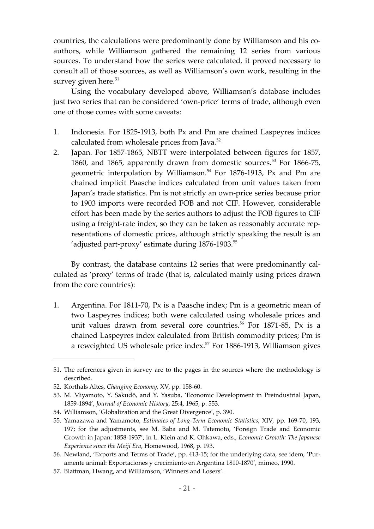countries, the calculations were predominantly done by Williamson and his coauthors, while Williamson gathered the remaining 12 series from various sources. To understand how the series were calculated, it proved necessary to consult all of those sources, as well as Williamson's own work, resulting in the survey given here.<sup>51</sup>

Using the vocabulary developed above, Williamson's database includes just two series that can be considered 'own-price' terms of trade, although even one of those comes with some caveats:

- 1. Indonesia. For 1825-1913, both Px and Pm are chained Laspeyres indices calculated from wholesale prices from Java.<sup>52</sup>
- 2. Japan. For 1857-1865, NBTT were interpolated between figures for 1857, 1860, and 1865, apparently drawn from domestic sources.<sup>53</sup> For 1866-75, geometric interpolation by Williamson.<sup>54</sup> For 1876-1913, Px and Pm are chained implicit Paasche indices calculated from unit values taken from Japan's trade statistics. Pm is not strictly an own-price series because prior to 1903 imports were recorded FOB and not CIF. However, considerable effort has been made by the series authors to adjust the FOB figures to CIF using a freight-rate index, so they can be taken as reasonably accurate representations of domestic prices, although strictly speaking the result is an 'adjusted part-proxy' estimate during 1876-1903.<sup>55</sup>

By contrast, the database contains 12 series that were predominantly calculated as 'proxy' terms of trade (that is, calculated mainly using prices drawn from the core countries):

1. Argentina. For 1811-70, Px is a Paasche index; Pm is a geometric mean of two Laspeyres indices; both were calculated using wholesale prices and unit values drawn from several core countries.<sup>56</sup> For 1871-85, Px is a chained Laspeyres index calculated from British commodity prices; Pm is a reweighted US wholesale price index.<sup>57</sup> For 1886-1913, Williamson gives

<sup>51.</sup> The references given in survey are to the pages in the sources where the methodology is described.

<sup>52.</sup> Korthals Altes, *Changing Economy*, XV, pp. 158-60.

<sup>53.</sup> M. Miyamoto, Y. Sakudō, and Y. Yasuba, 'Economic Development in Preindustrial Japan, 1859-1894', *Journal of Economic History*, 25:4, 1965, p. 553.

<sup>54.</sup> Williamson, 'Globalization and the Great Divergence', p. 390.

<sup>55.</sup> Yamazawa and Yamamoto, *Estimates of Long-Term Economic Statistics*, XIV, pp. 169-70, 193, 197; for the adjustments, see M. Baba and M. Tatemoto, 'Foreign Trade and Economic Growth in Japan: 1858-1937', in L. Klein and K. Ohkawa, eds., *Economic Growth: The Japanese Experience since the Meiji Era*, Homewood, 1968, p. 193.

<sup>56.</sup> Newland, 'Exports and Terms of Trade', pp. 413-15; for the underlying data, see idem, 'Puramente animal: Exportaciones y crecimiento en Argentina 1810-1870', mimeo, 1990.

<sup>57.</sup> Blattman, Hwang, and Williamson, 'Winners and Losers'.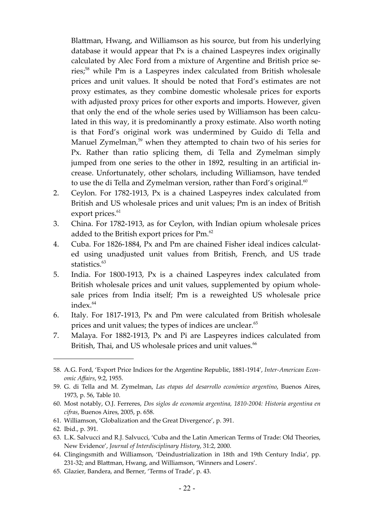Blattman, Hwang, and Williamson as his source, but from his underlying database it would appear that Px is a chained Laspeyres index originally calculated by Alec Ford from a mixture of Argentine and British price series;<sup>58</sup> while Pm is a Laspeyres index calculated from British wholesale prices and unit values. It should be noted that Ford's estimates are not proxy estimates, as they combine domestic wholesale prices for exports with adjusted proxy prices for other exports and imports. However, given that only the end of the whole series used by Williamson has been calculated in this way, it is predominantly a proxy estimate. Also worth noting is that Ford's original work was undermined by Guido di Tella and Manuel Zymelman, $59$  when they attempted to chain two of his series for Px. Rather than ratio splicing them, di Tella and Zymelman simply jumped from one series to the other in 1892, resulting in an artificial increase. Unfortunately, other scholars, including Williamson, have tended to use the di Tella and Zymelman version, rather than Ford's original. $60$ 

- 2. Ceylon. For 1782-1913, Px is a chained Laspeyres index calculated from British and US wholesale prices and unit values; Pm is an index of British export prices.<sup>61</sup>
- 3. China. For 1782-1913, as for Ceylon, with Indian opium wholesale prices added to the British export prices for Pm.<sup>62</sup>
- 4. Cuba. For 1826-1884, Px and Pm are chained Fisher ideal indices calculated using unadjusted unit values from British, French, and US trade statistics.<sup>63</sup>
- 5. India. For 1800-1913, Px is a chained Laspeyres index calculated from British wholesale prices and unit values, supplemented by opium wholesale prices from India itself; Pm is a reweighted US wholesale price index.<sup>64</sup>
- 6. Italy. For 1817-1913, Px and Pm were calculated from British wholesale prices and unit values; the types of indices are unclear.<sup>65</sup>
- 7. Malaya. For 1882-1913, Px and Pi are Laspeyres indices calculated from British, Thai, and US wholesale prices and unit values.<sup>66</sup>

<sup>58.</sup> A.G. Ford, 'Export Price Indices for the Argentine Republic, 1881-1914', *Inter-American Economic Affairs*, 9:2, 1955.

<sup>59.</sup> G. di Tella and M. Zymelman, *Las etapas del desarrollo económico argentino*, Buenos Aires, 1973, p. 56, Table 10.

<sup>60.</sup> Most notably, O.J. Ferreres, *Dos siglos de economía argentina, 1810-2004: Historia argentina en cifras*, Buenos Aires, 2005, p. 658.

<sup>61.</sup> Williamson, 'Globalization and the Great Divergence', p. 391.

<sup>62.</sup> Ibid., p. 391.

<sup>63.</sup> L.K. Salvucci and R.J. Salvucci, 'Cuba and the Latin American Terms of Trade: Old Theories, New Evidence', *Journal of Interdisciplinary History*, 31:2, 2000.

<sup>64.</sup> Clingingsmith and Williamson, 'Deindustrialization in 18th and 19th Century India', pp. 231-32; and Blattman, Hwang, and Williamson, 'Winners and Losers'.

<sup>65.</sup> Glazier, Bandera, and Berner, 'Terms of Trade', p. 43.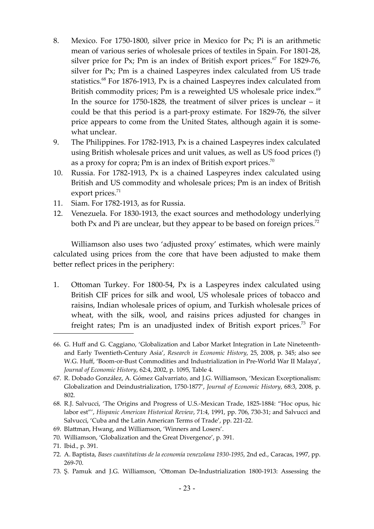- 8. Mexico. For 1750-1800, silver price in Mexico for Px; Pi is an arithmetic mean of various series of wholesale prices of textiles in Spain. For 1801-28, silver price for Px; Pm is an index of British export prices.<sup>67</sup> For 1829-76, silver for Px; Pm is a chained Laspeyres index calculated from US trade statistics.<sup>68</sup> For 1876-1913, Px is a chained Laspeyres index calculated from British commodity prices; Pm is a reweighted US wholesale price index. $69$ In the source for 1750-1828, the treatment of silver prices is unclear – it could be that this period is a part-proxy estimate. For 1829-76, the silver price appears to come from the United States, although again it is somewhat unclear.
- 9. The Philippines. For 1782-1913, Px is a chained Laspeyres index calculated using British wholesale prices and unit values, as well as US food prices (!) as a proxy for copra; Pm is an index of British export prices.<sup>70</sup>
- 10. Russia. For 1782-1913, Px is a chained Laspeyres index calculated using British and US commodity and wholesale prices; Pm is an index of British export prices. $71$
- 11. Siam. For 1782-1913, as for Russia.
- 12. Venezuela. For 1830-1913, the exact sources and methodology underlying both Px and Pi are unclear, but they appear to be based on foreign prices.<sup>72</sup>

Williamson also uses two 'adjusted proxy' estimates, which were mainly calculated using prices from the core that have been adjusted to make them better reflect prices in the periphery:

1. Ottoman Turkey. For 1800-54, Px is a Laspeyres index calculated using British CIF prices for silk and wool, US wholesale prices of tobacco and raisins, Indian wholesale prices of opium, and Turkish wholesale prices of wheat, with the silk, wool, and raisins prices adjusted for changes in freight rates; Pm is an unadjusted index of British export prices.<sup>73</sup> For

- 69. Blattman, Hwang, and Williamson, 'Winners and Losers'.
- 70. Williamson, 'Globalization and the Great Divergence', p. 391.

73. Ş. Pamuk and J.G. Williamson, 'Ottoman De-Industrialization 1800-1913: Assessing the

<sup>66.</sup> G. Huff and G. Caggiano, 'Globalization and Labor Market Integration in Late Nineteenthand Early Twentieth-Century Asia', *Research in Economic History*, 25, 2008, p. 345; also see W.G. Huff, 'Boom-or-Bust Commodities and Industrialization in Pre-World War II Malaya', *Journal of Economic History*, 62:4, 2002, p. 1095, Table 4.

<sup>67.</sup> R. Dobado González, A. Gómez Galvarriato, and J.G. Williamson, 'Mexican Exceptionalism: Globalization and Deindustrialization, 1750-1877', *Journal of Economic History*, 68:3, 2008, p. 802.

<sup>68.</sup> R.J. Salvucci, 'The Origins and Progress of U.S.-Mexican Trade, 1825-1884: "Hoc opus, hic labor est"', *Hispanic American Historical Review*, 71:4, 1991, pp. 706, 730-31; and Salvucci and Salvucci, 'Cuba and the Latin American Terms of Trade', pp. 221-22.

<sup>71.</sup> Ibid., p. 391.

<sup>72.</sup> A. Baptista, *Bases cuantitativas de la economía venezolana 1930-1995*, 2nd ed., Caracas, 1997, pp. 269-70.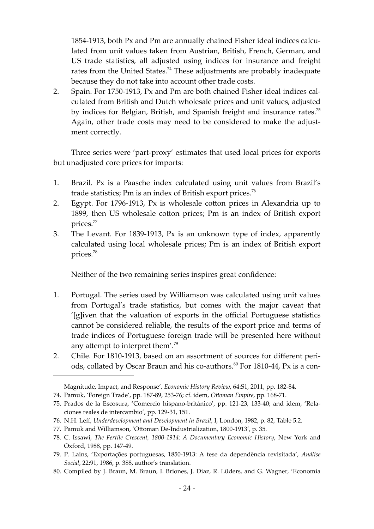1854-1913, both Px and Pm are annually chained Fisher ideal indices calculated from unit values taken from Austrian, British, French, German, and US trade statistics, all adjusted using indices for insurance and freight rates from the United States.<sup>74</sup> These adjustments are probably inadequate because they do not take into account other trade costs.

2. Spain. For 1750-1913, Px and Pm are both chained Fisher ideal indices calculated from British and Dutch wholesale prices and unit values, adjusted by indices for Belgian, British, and Spanish freight and insurance rates.<sup>75</sup> Again, other trade costs may need to be considered to make the adjustment correctly.

Three series were 'part-proxy' estimates that used local prices for exports but unadjusted core prices for imports:

- 1. Brazil. Px is a Paasche index calculated using unit values from Brazil's trade statistics; Pm is an index of British export prices.<sup>76</sup>
- 2. Egypt. For 1796-1913, Px is wholesale cotton prices in Alexandria up to 1899, then US wholesale cotton prices; Pm is an index of British export prices.77
- 3. The Levant. For 1839-1913, Px is an unknown type of index, apparently calculated using local wholesale prices; Pm is an index of British export prices.78

Neither of the two remaining series inspires great confidence:

- 1. Portugal. The series used by Williamson was calculated using unit values from Portugal's trade statistics, but comes with the major caveat that '[g]iven that the valuation of exports in the official Portuguese statistics cannot be considered reliable, the results of the export price and terms of trade indices of Portuguese foreign trade will be presented here without any attempt to interpret them'.<sup>79</sup>
- 2. Chile. For 1810-1913, based on an assortment of sources for different periods, collated by Oscar Braun and his co-authors.<sup>80</sup> For 1810-44, Px is a con-

Magnitude, Impact, and Response', *Economic History Review*, 64:S1, 2011, pp. 182-84.

<sup>74.</sup> Pamuk, 'Foreign Trade', pp. 187-89, 253-76; cf. idem, *Okoman Empire*, pp. 168-71.

<sup>75.</sup> Prados de la Escosura, 'Comercio hispano-británico', pp. 121-23, 133-40; and idem, 'Relaciones reales de intercambio', pp. 129-31, 151.

<sup>76.</sup> N.H. Leff, *Underdevelopment and Development in Brazil*, I, London, 1982, p. 82, Table 5.2.

<sup>77.</sup> Pamuk and Williamson, 'Ottoman De-Industrialization, 1800-1913', p. 35.

<sup>78.</sup> C. Issawi, *The Fertile Crescent, 1800-1914: A Documentary Economic History*, New York and Oxford, 1988, pp. 147-49.

<sup>79.</sup> P. Lains, 'Exportações portuguesas, 1850-1913: A tese da dependência revisitada', *Análise Social*, 22:91, 1986, p. 388, author's translation.

<sup>80.</sup> Compiled by J. Braun, M. Braun, I. Briones, J. Díaz, R. Lüders, and G. Wagner, 'Economía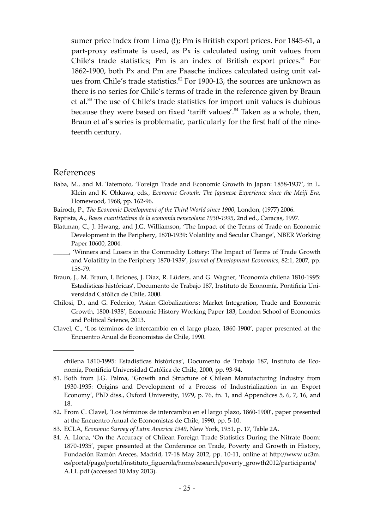sumer price index from Lima (!); Pm is British export prices. For 1845-61, a part-proxy estimate is used, as Px is calculated using unit values from Chile's trade statistics; Pm is an index of British export prices. $81$  For 1862-1900, both Px and Pm are Paasche indices calculated using unit values from Chile's trade statistics. $82$  For 1900-13, the sources are unknown as there is no series for Chile's terms of trade in the reference given by Braun et al.<sup>83</sup> The use of Chile's trade statistics for import unit values is dubious because they were based on fixed 'tariff values'.<sup>84</sup> Taken as a whole, then, Braun et al's series is problematic, particularly for the first half of the nineteenth century.

#### References

- Baba, M., and M. Tatemoto, 'Foreign Trade and Economic Growth in Japan: 1858-1937', in L. Klein and K. Ohkawa, eds., *Economic Growth: The Japanese Experience since the Meiji Era*, Homewood, 1968, pp. 162-96.
- Bairoch, P., *The Economic Development of the Third World since 1900*, London, (1977) 2006.
- Baptista, A., *Bases cuantitativas de la economía venezolana 1930-1995*, 2nd ed., Caracas, 1997.
- Blattman, C., J. Hwang, and J.G. Williamson, 'The Impact of the Terms of Trade on Economic Development in the Periphery, 1870-1939: Volatility and Secular Change', NBER Working Paper 10600, 2004.
- \_\_\_\_\_, 'Winners and Losers in the Commodity Lo^ery: The Impact of Terms of Trade Growth and Volatility in the Periphery 1870-1939', *Journal of Development Economics*, 82:1, 2007, pp. 156-79.
- Braun, J., M. Braun, I. Briones, J. Díaz, R. Lüders, and G. Wagner, 'Economía chilena 1810-1995: Estadísticas históricas', Documento de Trabajo 187, Instituto de Economía, Pontificia Universidad Católica de Chile, 2000.
- Chilosi, D., and G. Federico, 'Asian Globalizations: Market Integration, Trade and Economic Growth, 1800-1938', Economic History Working Paper 183, London School of Economics and Political Science, 2013.
- Clavel, C., 'Los términos de intercambio en el largo plazo, 1860-1900', paper presented at the Encuentro Anual de Economistas de Chile, 1990.

82. From C. Clavel, 'Los términos de intercambio en el largo plazo, 1860-1900', paper presented at the Encuentro Anual de Economistas de Chile, 1990, pp. 5-10.

chilena 1810-1995: Estadísticas históricas', Documento de Trabajo 187, Instituto de Economía, Pontificia Universidad Católica de Chile, 2000, pp. 93-94.

<sup>81.</sup> Both from J.G. Palma, 'Growth and Structure of Chilean Manufacturing Industry from 1930-1935: Origins and Development of a Process of Industrialization in an Export Economy', PhD diss., Oxford University, 1979, p. 76, fn. 1, and Appendices 5, 6, 7, 16, and 18.

<sup>83.</sup> ECLA, *Economic Survey of Latin America 1949*, New York, 1951, p. 17, Table 2A.

<sup>84.</sup> A. Llona, 'On the Accuracy of Chilean Foreign Trade Statistics During the Nitrate Boom: 1870-1935', paper presented at the Conference on Trade, Poverty and Growth in History, Fundación Ramón Areces, Madrid, 17-18 May 2012, pp. 10-11, online at [h^p://www.uc3m.](http://www.uc3m.es/portal/page/portal/instituto_figuerola/home/research/poverty_growth2012/participants/A.LL.pdf) [es/portal/page/portal/instituto\\_figuerola/home/research/poverty\\_growth2012/participants/](http://www.uc3m.es/portal/page/portal/instituto_figuerola/home/research/poverty_growth2012/participants/A.LL.pdf) [A.LL.pdf](http://www.uc3m.es/portal/page/portal/instituto_figuerola/home/research/poverty_growth2012/participants/A.LL.pdf) (accessed 10 May 2013).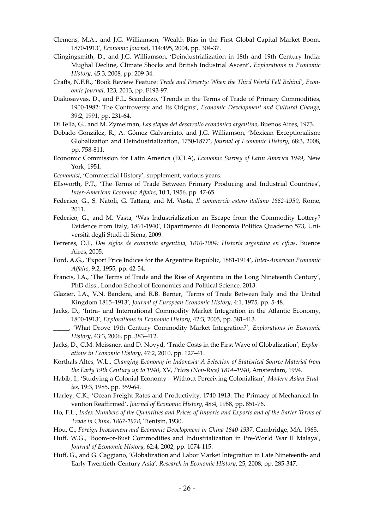- Clemens, M.A., and J.G. Williamson, 'Wealth Bias in the First Global Capital Market Boom, 1870-1913', *Economic Journal*, 114:495, 2004, pp. 304-37.
- Clingingsmith, D., and J.G. Williamson, 'Deindustrialization in 18th and 19th Century India: Mughal Decline, Climate Shocks and British Industrial Ascent', *Explorations in Economic History*, 45:3, 2008, pp. 209-34.
- Crafts, N.F.R., 'Book Review Feature: *Trade and Poverty: When the Third World Fell Behind*', *Economic Journal*, 123, 2013, pp. F193-97.
- Diakosavvas, D., and P.L. Scandizzo, 'Trends in the Terms of Trade of Primary Commodities, 1900-1982: The Controversy and Its Origins', *Economic Development and Cultural Change*, 39:2, 1991, pp. 231-64.
- Di Tella, G., and M. Zymelman, *Las etapas del desarrollo económico argentino*, Buenos Aires, 1973.
- Dobado González, R., A. Gómez Galvarriato, and J.G. Williamson, 'Mexican Exceptionalism: Globalization and Deindustrialization, 1750-1877', *Journal of Economic History*, 68:3, 2008, pp. 758-811.
- Economic Commission for Latin America (ECLA), *Economic Survey of Latin America 1949*, New York, 1951.
- *Economist*, 'Commercial History', supplement, various years.
- Ellsworth, P.T., 'The Terms of Trade Between Primary Producing and Industrial Countries', *Inter-American Economic Affairs*, 10:1, 1956, pp. 47-65.
- Federico, G., S. Natoli, G. Ta^ara, and M. Vasta, *Il commercio estero italiano 1862-1950*, Rome, 2011.
- Federico, G., and M. Vasta, 'Was Industrialization an Escape from the Commodity Lottery? Evidence from Italy, 1861-1940', Dipartimento di Economia Politica Quaderno 573, Università degli Studi di Siena, 2009.
- Ferreres, O.J., *Dos siglos de economía argentina, 1810-2004: Historia argentina en cifras*, Buenos Aires, 2005.
- Ford, A.G., 'Export Price Indices for the Argentine Republic, 1881-1914', *Inter-American Economic Affairs*, 9:2, 1955, pp. 42-54.
- Francis, J.A., 'The Terms of Trade and the Rise of Argentina in the Long Nineteenth Century', PhD diss., London School of Economics and Political Science, 2013.
- Glazier, I.A., V.N. Bandera, and R.B. Berner, 'Terms of Trade Between Italy and the United Kingdom 1815–1913', *Journal of European Economic History*, 4:1, 1975, pp. 5-48.
- Jacks, D., 'Intra- and International Commodity Market Integration in the Atlantic Economy, 1800-1913', *Explorations in Economic History*, 42:3, 2005, pp. 381-413.
- \_\_\_\_\_, 'What Drove 19th Century Commodity Market Integration?', *Explorations in Economic History*, 43:3, 2006, pp. 383–412.
- Jacks, D., C.M. Meissner, and D. Novyd, 'Trade Costs in the First Wave of Globalization', *Explorations in Economic History*, 47:2, 2010, pp. 127–41.
- Korthals Altes, W.L., *Changing Economy in Indonesia: A Selection of Statistical Source Material from the Early 19th Century up to 1940*, XV, *Prices (Non-Rice) 1814–1940*, Amsterdam, 1994.
- Habib, I., 'Studying a Colonial Economy Without Perceiving Colonialism', *Modern Asian Studies*, 19:3, 1985, pp. 359-64.
- Harley, C.K., 'Ocean Freight Rates and Productivity, 1740-1913: The Primacy of Mechanical Invention Reaffirmed', *Journal of Economic History*, 48:4, 1988, pp. 851-76.
- Ho, F.L., *Index Numbers of the Quantities and Prices of Imports and Exports and of the Barter Terms of Trade in China, 1867-1928*, Tientsin, 1930.
- Hou, C., *Foreign Investment and Economic Development in China 1840-1937*, Cambridge, MA, 1965.
- Huff, W.G., 'Boom-or-Bust Commodities and Industrialization in Pre-World War II Malaya', *Journal of Economic History*, 62:4, 2002, pp. 1074-115.
- Huff, G., and G. Caggiano, 'Globalization and Labor Market Integration in Late Nineteenth- and Early Twentieth-Century Asia', *Research in Economic History*, 25, 2008, pp. 285-347.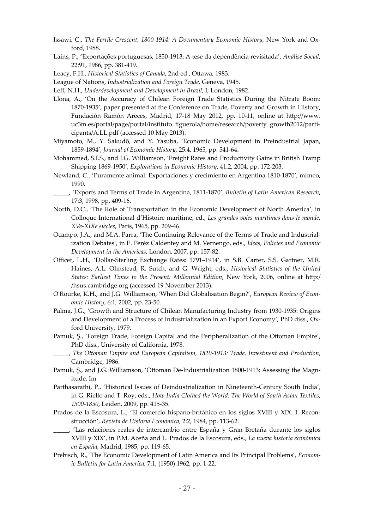- Issawi, C., *The Fertile Crescent, 1800-1914: A Documentary Economic History, New York and Ox*ford, 1988.
- Lains, P., 'Exportações portuguesas, 1850-1913: A tese da dependência revisitada', *Análise Social*, 22:91, 1986, pp. 381-419.
- Leacy, F.H., *Historical Statistics of Canada*, 2nd ed., Ottawa, 1983.
- League of Nations, *Industrialization and Foreign Trade*, Geneva, 1945.
- Leff, N.H., *Underdevelopment and Development in Brazil*, I, London, 1982.
- Llona, A., 'On the Accuracy of Chilean Foreign Trade Statistics During the Nitrate Boom: 1870-1935', paper presented at the Conference on Trade, Poverty and Growth in History, Fundación Ramón Areces, Madrid, 17-18 May 2012, pp. 10-11, online at [h^p://www.](http://www.uc3m.es/portal/page/portal/instituto_figuerola/home/research/poverty_growth2012/participants/A.LL.pdf) [uc3m.es/portal/page/portal/instituto\\_figuerola/home/research/poverty\\_growth2012/parti](http://www.uc3m.es/portal/page/portal/instituto_figuerola/home/research/poverty_growth2012/participants/A.LL.pdf)[cipants/A.LL.pdf](http://www.uc3m.es/portal/page/portal/instituto_figuerola/home/research/poverty_growth2012/participants/A.LL.pdf) (accessed 10 May 2013).
- Miyamoto, M., Y. Sakudō, and Y. Yasuba, 'Economic Development in Preindustrial Japan, 1859-1894', *Journal of Economic History*, 25:4, 1965, pp. 541-64.
- Mohammed, S.I.S., and J.G. Williamson, 'Freight Rates and Productivity Gains in British Tramp Shipping 1869-1950', *Explorations in Economic History*, 41:2, 2004, pp. 172-203.
- Newland, C., 'Puramente animal: Exportaciones y crecimiento en Argentina 1810-1870', mimeo, 1990.
- \_\_\_\_\_, 'Exports and Terms of Trade in Argentina, 1811-1870', *Bulletin of Latin American Research*, 17:3, 1998, pp. 409-16.
- North, D.C., 'The Role of Transportation in the Economic Development of North America', in Colloque International d'Histoire maritime, ed., *Les grandes voies maritimes dans le monde, XVe-XIXe siècles*, Paris, 1965, pp. 209-46.
- Ocampo, J.A., and M.A. Parra, 'The Continuing Relevance of the Terms of Trade and Industrialization Debates', in E. Peréz Caldentey and M. Vernengo, eds., *Ideas, Policies and Economic Development in the Americas*, London, 2007, pp. 157-82.
- Officer, L.H., 'Dollar-Sterling Exchange Rates: 1791–1914', in S.B. Carter, S.S. Gartner, M.R. Haines, A.L. Olmstead, R. Sutch, and G. Wright, eds., *Historical Statistics of the United States: Earliest Times to the Present: Millennial Edition*, New York, 2006, online at [h^p:/](http://hsus.cambridge.org) [/hsus.cambridge.org](http://hsus.cambridge.org) (accessed 19 November 2013).
- O'Rourke, K.H., and J.G. Williamson, 'When Did Globalisation Begin?', *European Review of Economic History*, 6:1, 2002, pp. 23-50.
- Palma, J.G., 'Growth and Structure of Chilean Manufacturing Industry from 1930-1935: Origins and Development of a Process of Industrialization in an Export Economy', PhD diss., Oxford University, 1979.
- Pamuk, S., 'Foreign Trade, Foreign Capital and the Peripheralization of the Ottoman Empire', PhD diss., University of California, 1978.
- \_\_\_\_\_, *The Okoman Empire and European Capitalism, 1820-1913: Trade, Investment and Production*, Cambridge, 1986.
- Pamuk, S., and J.G. Williamson, 'Ottoman De-Industrialization 1800-1913: Assessing the Magnitude, Im
- Parthasarathi, P., 'Historical Issues of Deindustrialization in Nineteenth-Century South India', in G. Riello and T. Roy, eds., *How India Clothed the World: The World of South Asian Textiles, 1500-1850*, Leiden, 2009, pp. 415-35.
- Prados de la Escosura, L., 'El comercio hispano-británico en los siglos XVIII y XIX: I. Reconstrucción', *Revista de Historia Económica*, 2:2, 1984, pp. 113-62.
- \_\_\_\_\_, 'Las relaciones reales de intercambio entre España y Gran Bretaña durante los siglos XVIII y XIX', in P.M. Aceña and L. Prados de la Escosura, eds., *La nueva historia económica en España*, Madrid, 1985, pp. 119-65.
- Prebisch, R., 'The Economic Development of Latin America and Its Principal Problems', *Economic Bulletin for Latin America,* 7:1, (1950) 1962, pp. 1-22.